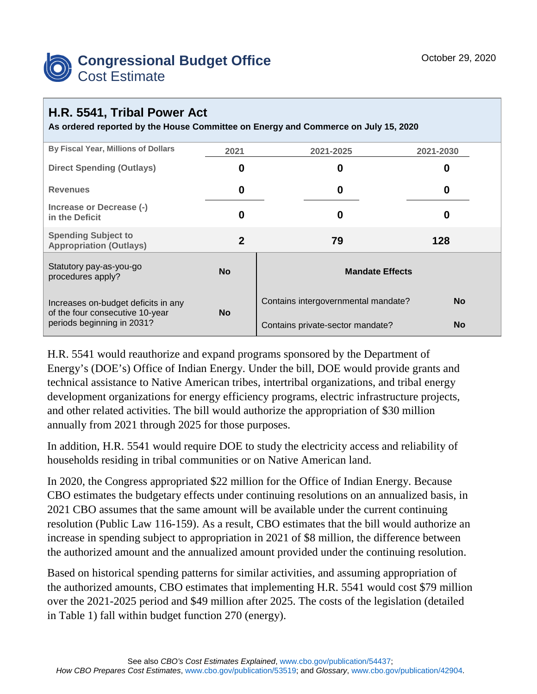

## **H.R. 5541, Tribal Power Act**

**As ordered reported by the House Committee on Energy and Commerce on July 15, 2020**

| <b>By Fiscal Year, Millions of Dollars</b>                    | 2021      | 2021-2025                           | 2021-2030 |  |
|---------------------------------------------------------------|-----------|-------------------------------------|-----------|--|
| <b>Direct Spending (Outlays)</b>                              | 0         | 0                                   | O         |  |
| <b>Revenues</b>                                               | 0         | 0                                   | 0         |  |
| Increase or Decrease (-)<br>in the Deficit                    | 0         | 0                                   | O         |  |
| <b>Spending Subject to</b><br><b>Appropriation (Outlays)</b>  | 2         | 79                                  | 128       |  |
| Statutory pay-as-you-go<br>procedures apply?                  | <b>No</b> | <b>Mandate Effects</b>              |           |  |
| Increases on-budget deficits in any                           | <b>No</b> | Contains intergovernmental mandate? | <b>No</b> |  |
| of the four consecutive 10-year<br>periods beginning in 2031? |           | Contains private-sector mandate?    | <b>No</b> |  |

H.R. 5541 would reauthorize and expand programs sponsored by the Department of Energy's (DOE's) Office of Indian Energy. Under the bill, DOE would provide grants and technical assistance to Native American tribes, intertribal organizations, and tribal energy development organizations for energy efficiency programs, electric infrastructure projects, and other related activities. The bill would authorize the appropriation of \$30 million annually from 2021 through 2025 for those purposes.

In addition, H.R. 5541 would require DOE to study the electricity access and reliability of households residing in tribal communities or on Native American land.

In 2020, the Congress appropriated \$22 million for the Office of Indian Energy. Because CBO estimates the budgetary effects under continuing resolutions on an annualized basis, in 2021 CBO assumes that the same amount will be available under the current continuing resolution (Public Law 116-159). As a result, CBO estimates that the bill would authorize an increase in spending subject to appropriation in 2021 of \$8 million, the difference between the authorized amount and the annualized amount provided under the continuing resolution.

Based on historical spending patterns for similar activities, and assuming appropriation of the authorized amounts, CBO estimates that implementing H.R. 5541 would cost \$79 million over the 2021-2025 period and \$49 million after 2025. The costs of the legislation (detailed in Table 1) fall within budget function 270 (energy).